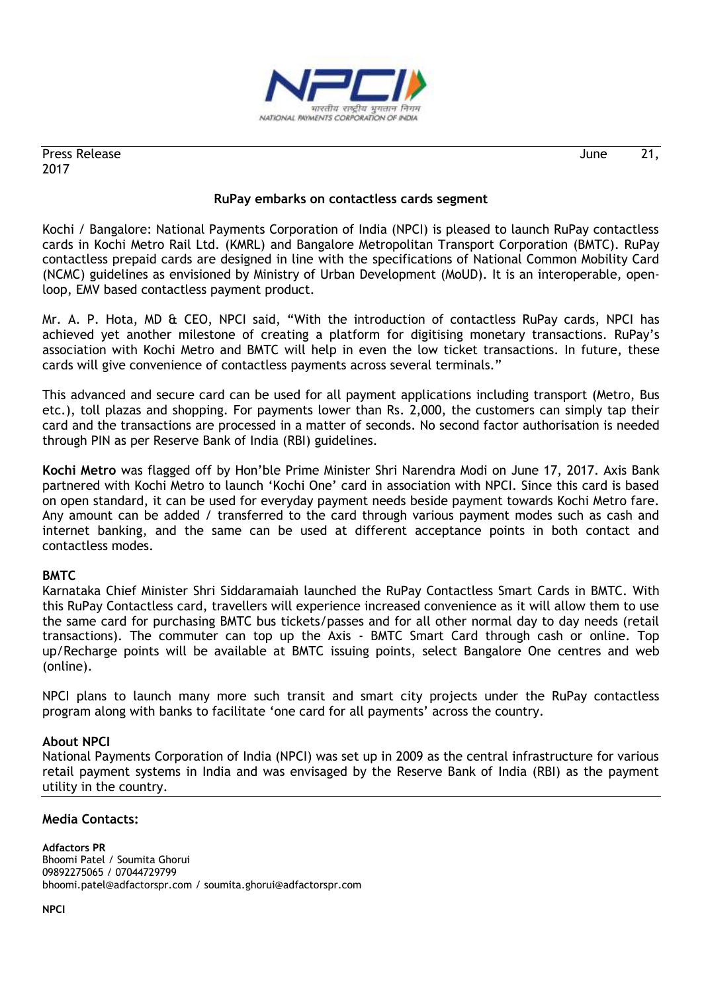

Press Release 21, 2017

## **RuPay embarks on contactless cards segment**

Kochi / Bangalore: National Payments Corporation of India (NPCI) is pleased to launch RuPay contactless cards in Kochi Metro Rail Ltd. (KMRL) and Bangalore Metropolitan Transport Corporation (BMTC). RuPay contactless prepaid cards are designed in line with the specifications of National Common Mobility Card (NCMC) guidelines as envisioned by Ministry of Urban Development (MoUD). It is an interoperable, openloop, EMV based contactless payment product.

Mr. A. P. Hota, MD & CEO, NPCI said, "With the introduction of contactless RuPay cards, NPCI has achieved yet another milestone of creating a platform for digitising monetary transactions. RuPay"s association with Kochi Metro and BMTC will help in even the low ticket transactions. In future, these cards will give convenience of contactless payments across several terminals."

This advanced and secure card can be used for all payment applications including transport (Metro, Bus etc.), toll plazas and shopping. For payments lower than Rs. 2,000, the customers can simply tap their card and the transactions are processed in a matter of seconds. No second factor authorisation is needed through PIN as per Reserve Bank of India (RBI) guidelines.

**Kochi Metro** was flagged off by Hon"ble Prime Minister Shri Narendra Modi on June 17, 2017. Axis Bank partnered with Kochi Metro to launch "Kochi One" card in association with NPCI. Since this card is based on open standard, it can be used for everyday payment needs beside payment towards Kochi Metro fare. Any amount can be added / transferred to the card through various payment modes such as cash and internet banking, and the same can be used at different acceptance points in both contact and contactless modes.

## **BMTC**

Karnataka Chief Minister Shri Siddaramaiah launched the RuPay Contactless Smart Cards in BMTC. With this RuPay Contactless card, travellers will experience increased convenience as it will allow them to use the same card for purchasing BMTC bus tickets/passes and for all other normal day to day needs (retail transactions). The commuter can top up the Axis - BMTC Smart Card through cash or online. Top up/Recharge points will be available at BMTC issuing points, select Bangalore One centres and web (online).

NPCI plans to launch many more such transit and smart city projects under the RuPay contactless program along with banks to facilitate "one card for all payments" across the country.

## **About NPCI**

National Payments Corporation of India (NPCI) was set up in 2009 as the central infrastructure for various retail payment systems in India and was envisaged by the Reserve Bank of India (RBI) as the payment utility in the country.

## **Media Contacts:**

**Adfactors PR** Bhoomi Patel / Soumita Ghorui 09892275065 / 07044729799 bhoomi.patel@adfactorspr.com / soumita.ghorui@adfactorspr.com